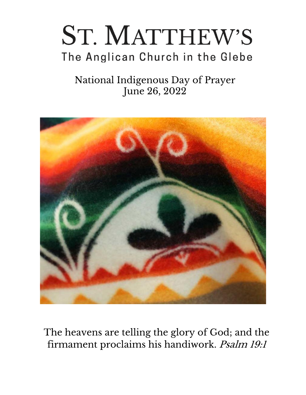# ST. MATTHEW'S The Anglican Church in the Glebe

National Indigenous Day of Prayer June 26, 2022



The heavens are telling the glory of God; and the firmament proclaims his handiwork. Psalm 19:1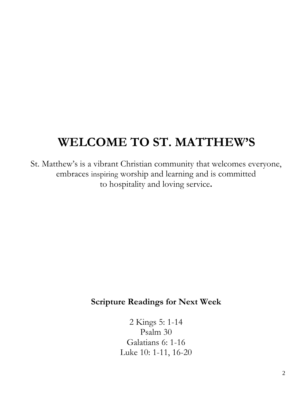# **WELCOME TO ST. MATTHEW'S**

St. Matthew's is a vibrant Christian community that welcomes everyone, embraces inspiring worship and learning and is committed to hospitality and loving service**.**

### **Scripture Readings for Next Week**

2 Kings 5: 1-14 Psalm 30 Galatians 6: 1-16 Luke 10: 1-11, 16-20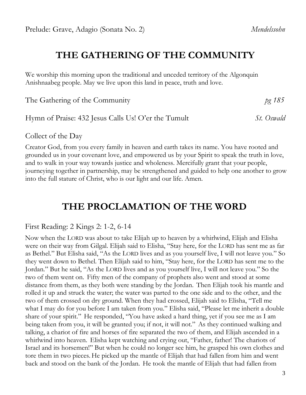# **THE GATHERING OF THE COMMUNITY**

We worship this morning upon the traditional and unceded territory of the Algonquin Anishnaabeg people. May we live upon this land in peace, truth and love.

The Gathering of the Community *pg 185*

Hymn of Praise: 432 Jesus Calls Us! O'er the Tumult *St. Oswald*

Collect of the Day

Creator God, from you every family in heaven and earth takes its name. You have rooted and grounded us in your covenant love, and empowered us by your Spirit to speak the truth in love, and to walk in your way towards justice and wholeness. Mercifully grant that your people, journeying together in partnership, may be strengthened and guided to help one another to grow into the full stature of Christ, who is our light and our life. Amen.

# **THE PROCLAMATION OF THE WORD**

First Reading: 2 Kings 2: 1-2, 6-14

Now when the LORD was about to take Elijah up to heaven by a whirlwind, Elijah and Elisha were on their way from Gilgal. Elijah said to Elisha, "Stay here, for the LORD has sent me as far as Bethel." But Elisha said, "As the LORD lives and as you yourself live, I will not leave you." So they went down to Bethel. Then Elijah said to him, "Stay here, for the LORD has sent me to the Jordan." But he said, "As the LORD lives and as you yourself live, I will not leave you." So the two of them went on. Fifty men of the company of prophets also went and stood at some distance from them, as they both were standing by the Jordan. Then Elijah took his mantle and rolled it up and struck the water; the water was parted to the one side and to the other, and the two of them crossed on dry ground. When they had crossed, Elijah said to Elisha, "Tell me what I may do for you before I am taken from you." Elisha said, "Please let me inherit a double share of your spirit." He responded, "You have asked a hard thing, yet if you see me as I am being taken from you, it will be granted you; if not, it will not." As they continued walking and talking, a chariot of fire and horses of fire separated the two of them, and Elijah ascended in a whirlwind into heaven. Elisha kept watching and crying out, "Father, father! The chariots of Israel and its horsemen!" But when he could no longer see him, he grasped his own clothes and tore them in two pieces.He picked up the mantle of Elijah that had fallen from him and went back and stood on the bank of the Jordan. He took the mantle of Elijah that had fallen from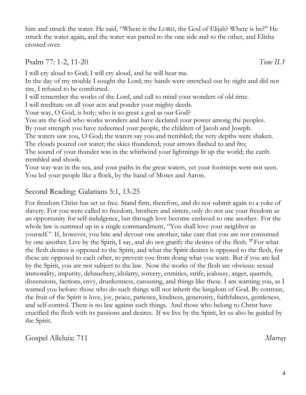him and struck the water. He said, "Where is the LORD, the God of Elijah? Where is he?" He struck the water again, and the water was parted to the one side and to the other, and Elisha crossed over.

#### Psalm 77: 1-2, 11-20 *Tone II.1*

I will cry aloud to God; I will cry aloud, and he will hear me.

In the day of my trouble I sought the Lord; my hands were stretched out by night and did not tire, I refused to be comforted.

I will remember the works of the Lord, and call to mind your wonders of old time. I will meditate on all your acts and ponder your mighty deeds.

Your way, O God, is holy; who is so great a god as our God?

You are the God who works wonders and have declared your power among the peoples. By your strength you have redeemed your people, the children of Jacob and Joseph.

The waters saw you, O God; the waters say you and trembled; the very depths were shaken.

The clouds poured out water; the skies thundered; your arrows flashed to and fro;

The sound of your thunder was in the whirlwind your lightnings lit up the world; the earth trembled and shook.

Your way was in the sea, and your paths in the great waters, yet your footsteps were not seen. You led your people like a flock, by the hand of Moses and Aaron.

## Second Reading: Galatians 5:1, 13-25

For freedom Christ has set us free. Stand firm, therefore, and do not submit again to a yoke of slavery. For you were called to freedom, brothers and sisters, only do not use your freedom as an opportunity for self-indulgence, but through love become enslaved to one another. For the whole law is summed up in a single commandment, "You shall love your neighbor as yourself." If, however, you bite and devour one another, take care that you are not consumed by one another. Live by the Spirit, I say, and do not gratify the desires of the flesh. **<sup>17</sup>** For what the flesh desires is opposed to the Spirit, and what the Spirit desires is opposed to the flesh, for these are opposed to each other, to prevent you from doing what you want. But if you are led by the Spirit, you are not subject to the law. Now the works of the flesh are obvious: sexual immorality, impurity, debauchery, idolatry, sorcery, enmities, strife, jealousy, anger, quarrels, dissensions, factions, envy, drunkenness, carousing, and things like these. I am warning you, as I warned you before: those who do such things will not inherit the kingdom of God. By contrast, the fruit of the Spirit is love, joy, peace, patience, kindness, generosity, faithfulness, gentleness, and self-control. There is no law against such things. And those who belong to Christ have crucified the flesh with its passions and desires. If we live by the Spirit, let us also be guided by the Spirit.

Gospel Alleluia: 711 *Murray*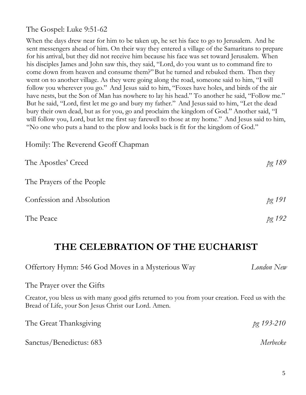The Gospel: Luke 9:51-62

When the days drew near for him to be taken up, he set his face to go to Jerusalem. And he sent messengers ahead of him. On their way they entered a village of the Samaritans to prepare for his arrival, but they did not receive him because his face was set toward Jerusalem. When his disciples James and John saw this, they said, "Lord, do you want us to command fire to come down from heaven and consume them?"But he turned and rebuked them. Then they went on to another village. As they were going along the road, someone said to him, "I will follow you wherever you go." And Jesus said to him, "Foxes have holes, and birds of the air have nests, but the Son of Man has nowhere to lay his head." To another he said, "Follow me." But he said, "Lord, first let me go and bury my father." And Jesussaid to him, "Let the dead bury their own dead, but as for you, go and proclaim the kingdom of God." Another said, "I will follow you, Lord, but let me first say farewell to those at my home." And Jesus said to him, "No one who puts a hand to the plow and looks back is fit for the kingdom of God."

|  | Homily: The Reverend Geoff Chapman |  |
|--|------------------------------------|--|
|  |                                    |  |

| The Apostles' Creed       | pg 189 |
|---------------------------|--------|
| The Prayers of the People |        |
| Confession and Absolution | pg 191 |
| The Peace                 | pg 192 |

# **THE CELEBRATION OF THE EUCHARIST**

Offertory Hymn: 546 God Moves in a Mysterious Way *London New*

#### The Prayer over the Gifts

Creator, you bless us with many good gifts returned to you from your creation. Feed us with the Bread of Life, your Son Jesus Christ our Lord. Amen.

| The Great Thanksgiving  | pg 193-210 |
|-------------------------|------------|
| Sanctus/Benedictus: 683 | Merbecke   |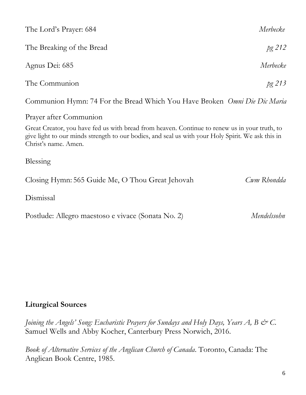| The Lord's Prayer: 684                                                                                                                                                                                                     | Merbecke    |  |  |  |
|----------------------------------------------------------------------------------------------------------------------------------------------------------------------------------------------------------------------------|-------------|--|--|--|
| The Breaking of the Bread                                                                                                                                                                                                  | pg 212      |  |  |  |
| Agnus Dei: 685                                                                                                                                                                                                             | Merbecke    |  |  |  |
| The Communion                                                                                                                                                                                                              | pg 213      |  |  |  |
| Communion Hymn: 74 For the Bread Which You Have Broken <i>Omni Die Dic Maria</i>                                                                                                                                           |             |  |  |  |
| Prayer after Communion                                                                                                                                                                                                     |             |  |  |  |
| Great Creator, you have fed us with bread from heaven. Continue to renew us in your truth, to<br>give light to our minds strength to our bodies, and seal us with your Holy Spirit. We ask this in<br>Christ's name. Amen. |             |  |  |  |
| Blessing                                                                                                                                                                                                                   |             |  |  |  |
| Closing Hymn: 565 Guide Me, O Thou Great Jehovah                                                                                                                                                                           | Cwm Rhondda |  |  |  |
| Dismissal                                                                                                                                                                                                                  |             |  |  |  |
| Postlude: Allegro maestoso e vivace (Sonata No. 2)                                                                                                                                                                         | Mendelssohn |  |  |  |

#### **Liturgical Sources**

*Joining the Angels' Song: Eucharistic Prayers for Sundays and Holy Days, Years A, B & C*. Samuel Wells and Abby Kocher, Canterbury Press Norwich, 2016.

*Book of Alternative Services of the Anglican Church of Canada*. Toronto, Canada: The Anglican Book Centre, 1985.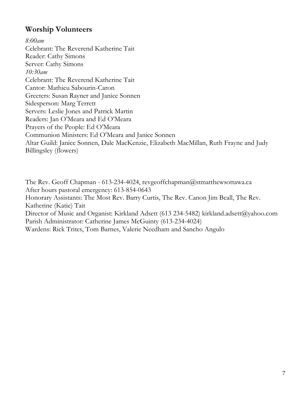#### **Worship Volunteers**

*8:00am* Celebrant: The Reverend Katherine Tait Reader: Cathy Simons Server: Cathy Simons *10:30am* Celebrant: The Reverend Katherine Tait Cantor: Mathieu Sabourin-Caron Greeters: Susan Rayner and Janice Sonnen Sidesperson: Marg Terrett Servers: Leslie Jones and Patrick Martin Readers: Jan O'Meara and Ed O'Meara Prayers of the People: Ed O'Meara Communion Ministers: Ed O'Meara and Janice Sonnen Altar Guild: Janice Sonnen, Dale MacKenzie, Elizabeth MacMillan, Ruth Frayne and Judy Billingsley (flowers)

The Rev. Geoff Chapman - 613-234-4024, revgeoffchapman@stmatthewsottawa.ca After hours pastoral emergency: 613-854-0643 Honorary Assistants: The Most Rev. Barry Curtis, The Rev. Canon Jim Beall, The Rev. Katherine (Katie) Tait Director of Music and Organist: Kirkland Adsett (613 234-5482) kirkland.adsett@yahoo.com Parish Administrator: Catherine James McGuinty (613-234-4024) Wardens: Rick Trites, Tom Barnes, Valerie Needham and Sancho Angulo